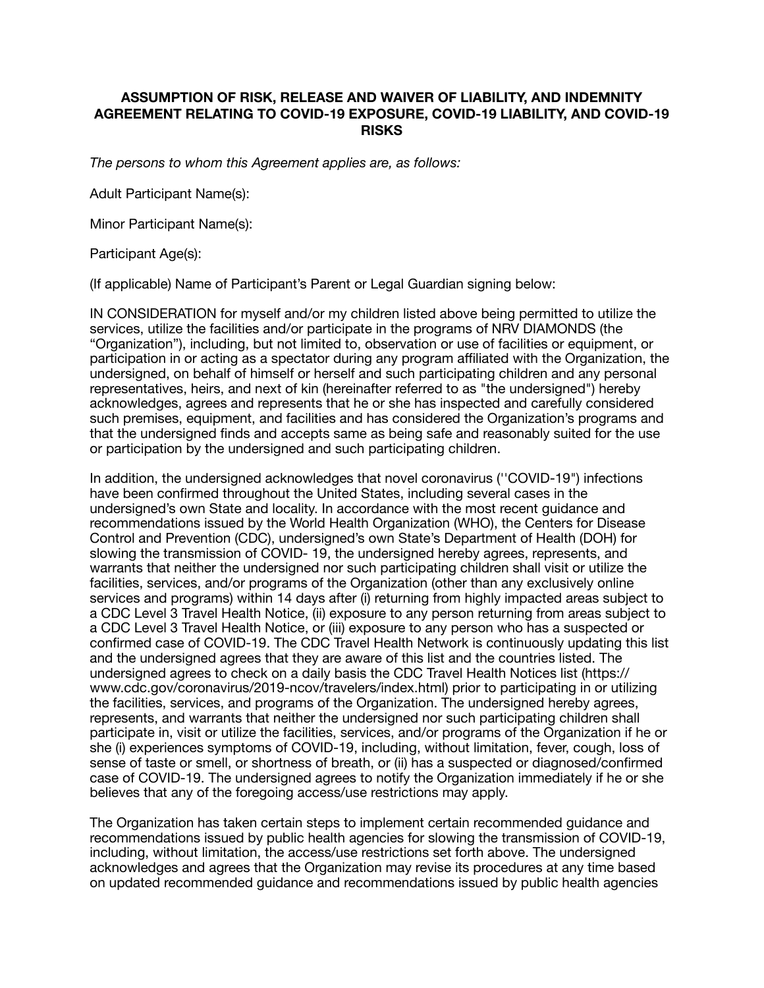## **ASSUMPTION OF RISK, RELEASE AND WAIVER OF LIABILITY, AND INDEMNITY AGREEMENT RELATING TO COVID-19 EXPOSURE, COVID-19 LIABILITY, AND COVID-19 RISKS**

*The persons to whom this Agreement applies are, as follows:* 

Adult Participant Name(s):

Minor Participant Name(s):

Participant Age(s):

(If applicable) Name of Participant's Parent or Legal Guardian signing below:

IN CONSIDERATION for myself and/or my children listed above being permitted to utilize the services, utilize the facilities and/or participate in the programs of NRV DIAMONDS (the "Organization"), including, but not limited to, observation or use of facilities or equipment, or participation in or acting as a spectator during any program affiliated with the Organization, the undersigned, on behalf of himself or herself and such participating children and any personal representatives, heirs, and next of kin (hereinafter referred to as "the undersigned") hereby acknowledges, agrees and represents that he or she has inspected and carefully considered such premises, equipment, and facilities and has considered the Organization's programs and that the undersigned finds and accepts same as being safe and reasonably suited for the use or participation by the undersigned and such participating children.

In addition, the undersigned acknowledges that novel coronavirus (''COVID-19") infections have been confirmed throughout the United States, including several cases in the undersigned's own State and locality. In accordance with the most recent guidance and recommendations issued by the World Health Organization (WHO), the Centers for Disease Control and Prevention (CDC), undersigned's own State's Department of Health (DOH) for slowing the transmission of COVID- 19, the undersigned hereby agrees, represents, and warrants that neither the undersigned nor such participating children shall visit or utilize the facilities, services, and/or programs of the Organization (other than any exclusively online services and programs) within 14 days after (i) returning from highly impacted areas subject to a CDC Level 3 Travel Health Notice, (ii) exposure to any person returning from areas subject to a CDC Level 3 Travel Health Notice, or (iii) exposure to any person who has a suspected or confirmed case of COVID-19. The CDC Travel Health Network is continuously updating this list and the undersigned agrees that they are aware of this list and the countries listed. The undersigned agrees to check on a daily basis the CDC Travel Health Notices list (https:// www.cdc.gov/coronavirus/2019-ncov/travelers/index.html) prior to participating in or utilizing the facilities, services, and programs of the Organization. The undersigned hereby agrees, represents, and warrants that neither the undersigned nor such participating children shall participate in, visit or utilize the facilities, services, and/or programs of the Organization if he or she (i) experiences symptoms of COVID-19, including, without limitation, fever, cough, loss of sense of taste or smell, or shortness of breath, or (ii) has a suspected or diagnosed/confirmed case of COVID-19. The undersigned agrees to notify the Organization immediately if he or she believes that any of the foregoing access/use restrictions may apply.

The Organization has taken certain steps to implement certain recommended guidance and recommendations issued by public health agencies for slowing the transmission of COVID-19, including, without limitation, the access/use restrictions set forth above. The undersigned acknowledges and agrees that the Organization may revise its procedures at any time based on updated recommended guidance and recommendations issued by public health agencies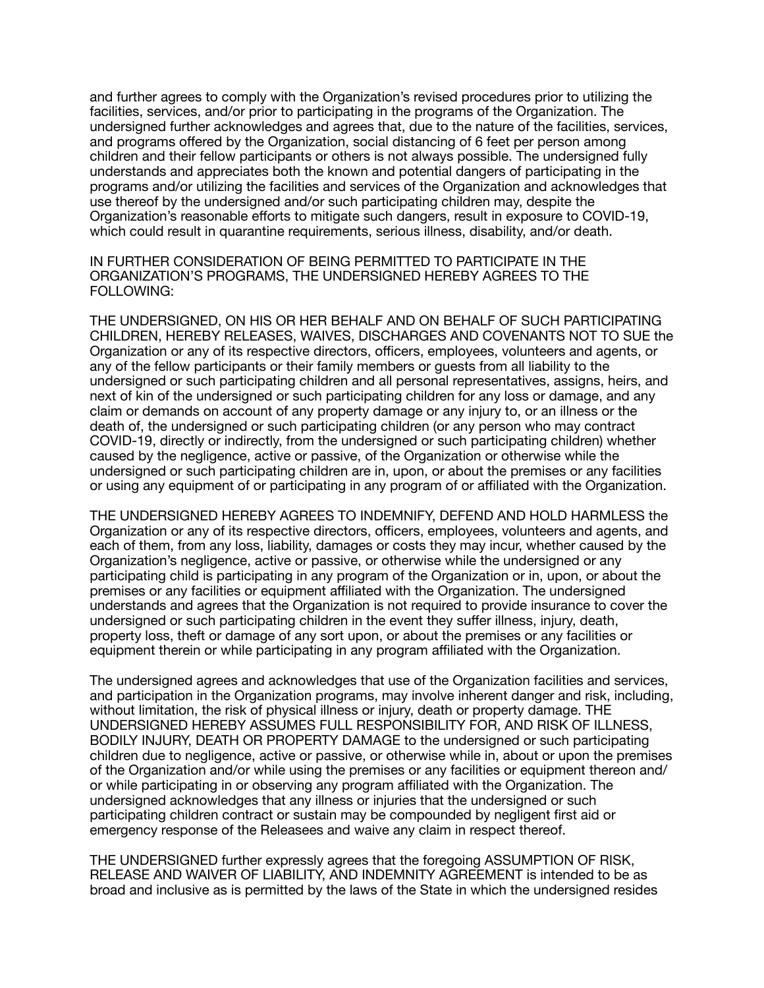and further agrees to comply with the Organization's revised procedures prior to utilizing the facilities, services, and/or prior to participating in the programs of the Organization. The undersigned further acknowledges and agrees that, due to the nature of the facilities, services, and programs offered by the Organization, social distancing of 6 feet per person among children and their fellow participants or others is not always possible. The undersigned fully understands and appreciates both the known and potential dangers of participating in the programs and/or utilizing the facilities and services of the Organization and acknowledges that use thereof by the undersigned and/or such participating children may, despite the Organization's reasonable efforts to mitigate such dangers, result in exposure to COVID-19, which could result in quarantine requirements, serious illness, disability, and/or death.

IN FURTHER CONSIDERATION OF BEING PERMITTED TO PARTICIPATE IN THE ORGANIZATION'S PROGRAMS, THE UNDERSIGNED HEREBY AGREES TO THE FOLLOWING:

THE UNDERSIGNED, ON HIS OR HER BEHALF AND ON BEHALF OF SUCH PARTICIPATING CHILDREN, HEREBY RELEASES, WAIVES, DISCHARGES AND COVENANTS NOT TO SUE the Organization or any of its respective directors, officers, employees, volunteers and agents, or any of the fellow participants or their family members or guests from all liability to the undersigned or such participating children and all personal representatives, assigns, heirs, and next of kin of the undersigned or such participating children for any loss or damage, and any claim or demands on account of any property damage or any injury to, or an illness or the death of, the undersigned or such participating children (or any person who may contract COVID-19, directly or indirectly, from the undersigned or such participating children) whether caused by the negligence, active or passive, of the Organization or otherwise while the undersigned or such participating children are in, upon, or about the premises or any facilities or using any equipment of or participating in any program of or affiliated with the Organization.

THE UNDERSIGNED HEREBY AGREES TO INDEMNIFY, DEFEND AND HOLD HARMLESS the Organization or any of its respective directors, officers, employees, volunteers and agents, and each of them, from any loss, liability, damages or costs they may incur, whether caused by the Organization's negligence, active or passive, or otherwise while the undersigned or any participating child is participating in any program of the Organization or in, upon, or about the premises or any facilities or equipment affiliated with the Organization. The undersigned understands and agrees that the Organization is not required to provide insurance to cover the undersigned or such participating children in the event they suffer illness, injury, death, property loss, theft or damage of any sort upon, or about the premises or any facilities or equipment therein or while participating in any program affiliated with the Organization.

The undersigned agrees and acknowledges that use of the Organization facilities and services, and participation in the Organization programs, may involve inherent danger and risk, including, without limitation, the risk of physical illness or injury, death or property damage. THE UNDERSIGNED HEREBY ASSUMES FULL RESPONSIBILITY FOR, AND RISK OF ILLNESS, BODILY INJURY, DEATH OR PROPERTY DAMAGE to the undersigned or such participating children due to negligence, active or passive, or otherwise while in, about or upon the premises of the Organization and/or while using the premises or any facilities or equipment thereon and/ or while participating in or observing any program affiliated with the Organization. The undersigned acknowledges that any illness or injuries that the undersigned or such participating children contract or sustain may be compounded by negligent first aid or emergency response of the Releasees and waive any claim in respect thereof.

THE UNDERSIGNED further expressly agrees that the foregoing ASSUMPTION OF RISK, RELEASE AND WAIVER OF LIABILITY, AND INDEMNITY AGREEMENT is intended to be as broad and inclusive as is permitted by the laws of the State in which the undersigned resides